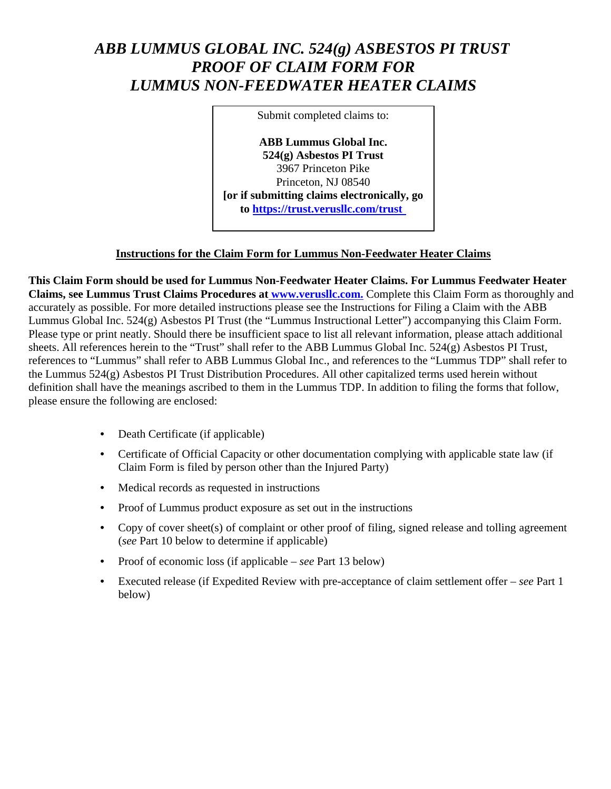# ABB LUMMUS GLOBAL INC. 524(g) ASBESTOS PI TRUST **PROOF OF CLAIM FORM FOR LUMMUS NON-FEEDWATER HEATER CLAIMS**

Submit completed claims to:

**ABB Lummus Global Inc.**  $524(g)$  Asbestos PI Trust 3967 Princeton Pike Princeton. NJ 08540 [or if submitting claims electronically, go to https://trust.verusllc.com/trust

### **Instructions for the Claim Form for Lummus Non-Feedwater Heater Claims**

This Claim Form should be used for Lummus Non-Feedwater Heater Claims. For Lummus Feedwater Heater Claims, see Lummus Trust Claims Procedures at www.verusllc.com. Complete this Claim Form as thoroughly and accurately as possible. For more detailed instructions please see the Instructions for Filing a Claim with the ABB Lummus Global Inc. 524(g) Asbestos PI Trust (the "Lummus Instructional Letter") accompanying this Claim Form. Please type or print neatly. Should there be insufficient space to list all relevant information, please attach additional sheets. All references herein to the "Trust" shall refer to the ABB Lummus Global Inc. 524(g) Asbestos PI Trust, references to "Lummus" shall refer to ABB Lummus Global Inc., and references to the "Lummus TDP" shall refer to the Lummus 524(g) Asbestos PI Trust Distribution Procedures. All other capitalized terms used herein without definition shall have the meanings ascribed to them in the Lummus TDP. In addition to filing the forms that follow, please ensure the following are enclosed:

- Death Certificate (if applicable)
- Certificate of Official Capacity or other documentation complying with applicable state law (if Claim Form is filed by person other than the Injured Party)
- Medical records as requested in instructions
- $\bullet$ Proof of Lummus product exposure as set out in the instructions
- Copy of cover sheet(s) of complaint or other proof of filing, signed release and tolling agreement (see Part 10 below to determine if applicable)
- Proof of economic loss (if applicable see Part 13 below)
- Executed release (if Expedited Review with pre-acceptance of claim settlement offer  $-$  see Part 1 below)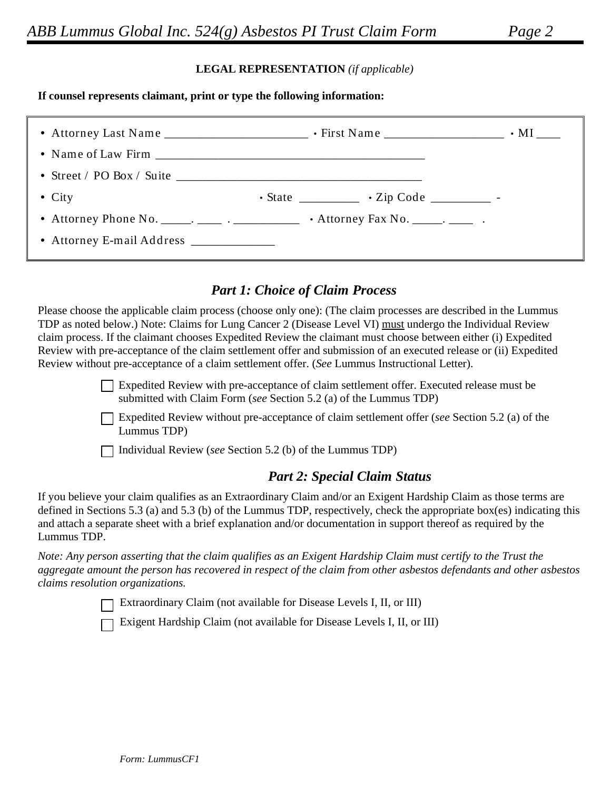## Page 2

#### **LEGAL REPRESENTATION** (if applicable)

#### If counsel represents claimant, print or type the following information:

| • Street / PO Box / Suite $\_$           |                                                           |  |
|------------------------------------------|-----------------------------------------------------------|--|
| $\bullet$ City                           | $\cdot$ State _____________ $\cdot$ Zip Code __________ - |  |
|                                          |                                                           |  |
| • Attorney E-mail Address ______________ |                                                           |  |

## **Part 1: Choice of Claim Process**

Please choose the applicable claim process (choose only one): (The claim processes are described in the Lummus TDP as noted below.) Note: Claims for Lung Cancer 2 (Disease Level VI) must undergo the Individual Review claim process. If the claimant chooses Expedited Review the claimant must choose between either (i) Expedited Review with pre-acceptance of the claim settlement offer and submission of an executed release or (ii) Expedited Review without pre-acceptance of a claim settlement offer. (See Lummus Instructional Letter).

> □ Expedited Review with pre-acceptance of claim settlement offer. Executed release must be submitted with Claim Form (see Section 5.2 (a) of the Lummus TDP)

Expedited Review without pre-acceptance of claim settlement offer (see Section 5.2 (a) of the Lummus TDP)

 $\Box$  Individual Review (see Section 5.2 (b) of the Lummus TDP)

## **Part 2: Special Claim Status**

If you believe your claim qualifies as an Extraordinary Claim and/or an Exigent Hardship Claim as those terms are defined in Sections 5.3 (a) and 5.3 (b) of the Lummus TDP, respectively, check the appropriate box(es) indicating this and attach a separate sheet with a brief explanation and/or documentation in support thereof as required by the Lummus TDP.

Note: Any person asserting that the claim qualifies as an Exigent Hardship Claim must certify to the Trust the aggregate amount the person has recovered in respect of the claim from other asbestos defendants and other asbestos claims resolution organizations.

Extraordinary Claim (not available for Disease Levels I, II, or III)

Exigent Hardship Claim (not available for Disease Levels I, II, or III)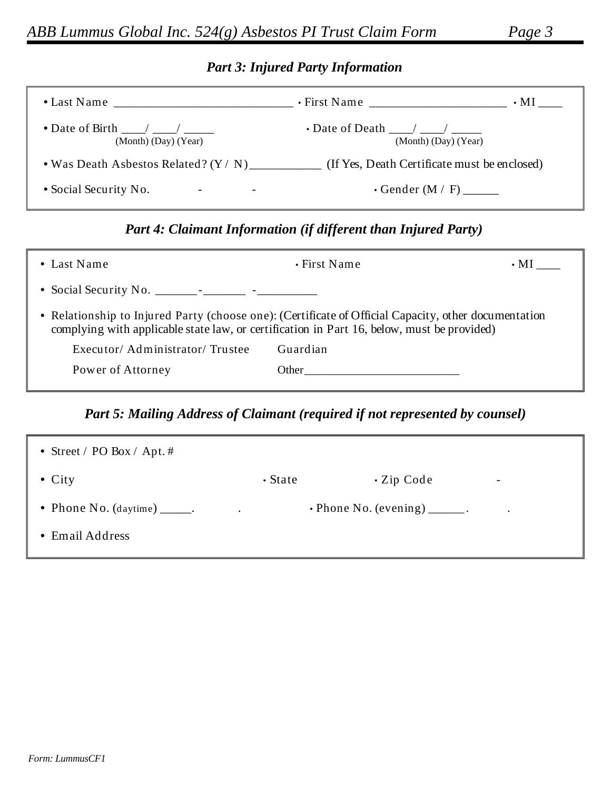# **Part 3: Injured Party Information**

|                                                         | $\cdot$ First Name<br>$\cdot$ MI                         |
|---------------------------------------------------------|----------------------------------------------------------|
| • Date of Birth $\frac{1}{2}$ /<br>(Month) (Day) (Year) | $\cdot$ Date of Death $\sqrt{2}$<br>(Month) (Day) (Year) |
| • Was Death Asbestos Related? $(Y / N)$                 | (If Yes, Death Certificate must be enclosed)             |
| • Social Security No.<br>$\overline{\phantom{a}}$       | • Gender $(M / F)$                                       |

# Part 4: Claimant Information (if different than Injured Party)

| • Last Name                                                                                          | $\cdot$ First Name                                                                         | $\cdot$ MI |
|------------------------------------------------------------------------------------------------------|--------------------------------------------------------------------------------------------|------------|
|                                                                                                      |                                                                                            |            |
| • Relationship to Injured Party (choose one): (Certificate of Official Capacity, other documentation | complying with applicable state law, or certification in Part 16, below, must be provided) |            |
| Executor/Administrator/Trustee                                                                       | Guardian                                                                                   |            |
| Power of Attorney                                                                                    | Other                                                                                      |            |
|                                                                                                      |                                                                                            |            |

# Part 5: Mailing Address of Claimant (required if not represented by counsel)

| • Street / PO Box / Apt. #                          |               |                                      |                          |
|-----------------------------------------------------|---------------|--------------------------------------|--------------------------|
| $\bullet$ City                                      | $\cdot$ State | $\cdot$ Zip Code                     | $\overline{\phantom{a}}$ |
| • Phone No. $(\text{daytime})$ ______.<br>$\bullet$ |               | $\cdot$ Phone No. (evening) _______. |                          |
| • Email Address                                     |               |                                      |                          |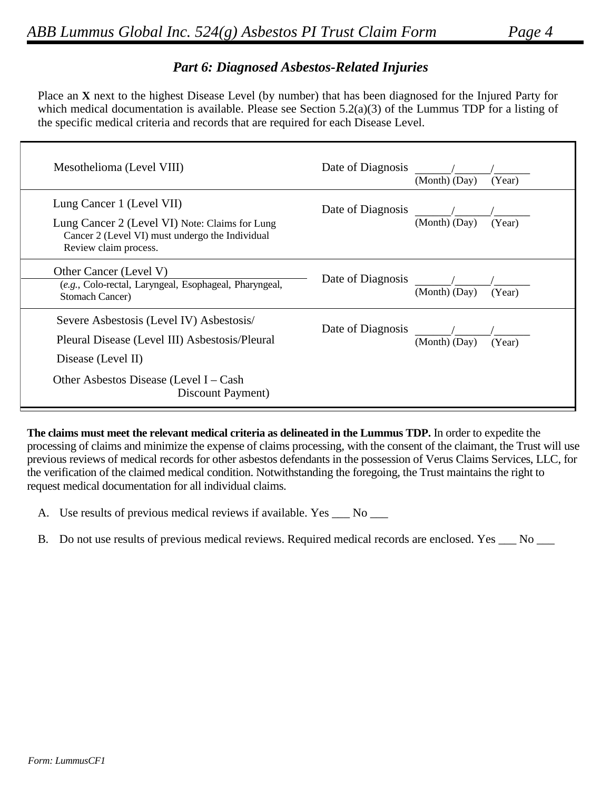٦

## **Part 6: Diagnosed Asbestos-Related Injuries**

Place an X next to the highest Disease Level (by number) that has been diagnosed for the Injured Party for which medical documentation is available. Please see Section  $5.2(a)(3)$  of the Lummus TDP for a listing of the specific medical criteria and records that are required for each Disease Level.

| Mesothelioma (Level VIII)                                                                                                                               | Date of Diagnosis | (Month) (Day) | (Year) |
|---------------------------------------------------------------------------------------------------------------------------------------------------------|-------------------|---------------|--------|
| Lung Cancer 1 (Level VII)<br>Lung Cancer 2 (Level VI) Note: Claims for Lung<br>Cancer 2 (Level VI) must undergo the Individual<br>Review claim process. | Date of Diagnosis | (Month) (Day) | (Year) |
| Other Cancer (Level V)<br>(e.g., Colo-rectal, Laryngeal, Esophageal, Pharyngeal,<br><b>Stomach Cancer)</b>                                              | Date of Diagnosis | (Month) (Day) | (Year) |
| Severe Asbestosis (Level IV) Asbestosis/<br>Pleural Disease (Level III) Asbestosis/Pleural<br>Disease (Level II)                                        | Date of Diagnosis | (Month) (Day) | (Year) |
| Other Asbestos Disease (Level I – Cash<br>Discount Payment)                                                                                             |                   |               |        |

The claims must meet the relevant medical criteria as delineated in the Lummus TDP. In order to expedite the processing of claims and minimize the expense of claims processing, with the consent of the claimant, the Trust will use previous reviews of medical records for other asbestos defendants in the possession of Verus Claims Services, LLC, for the verification of the claimed medical condition. Notwithstanding the foregoing, the Trust maintains the right to request medical documentation for all individual claims.

- A. Use results of previous medical reviews if available. Yes \_\_\_ No \_\_\_
- B. Do not use results of previous medical reviews. Required medical records are enclosed. Yes \_\_ No \_\_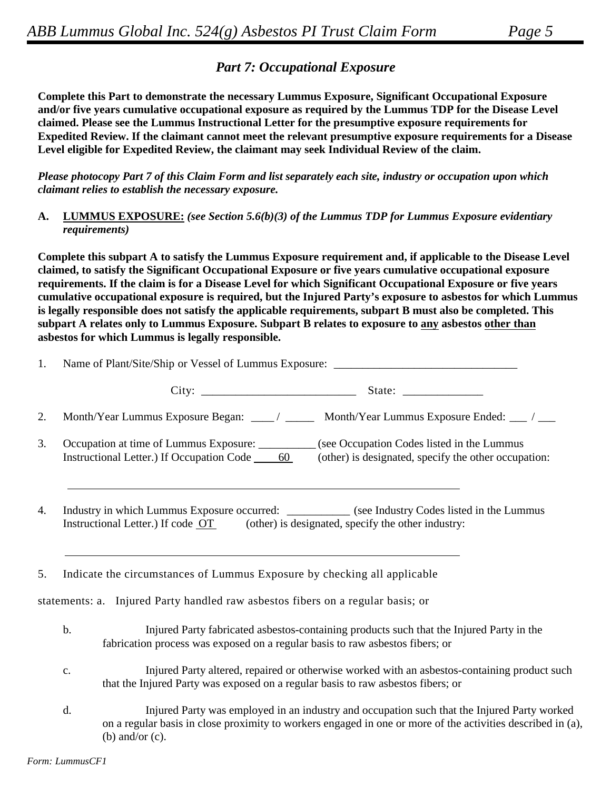$10^{10}$ 

# **Part 7: Occupational Exposure**

Complete this Part to demonstrate the necessary Lummus Exposure, Significant Occupational Exposure and/or five years cumulative occupational exposure as required by the Lummus TDP for the Disease Level claimed. Please see the Lummus Instructional Letter for the presumptive exposure requirements for Expedited Review. If the claimant cannot meet the relevant presumptive exposure requirements for a Disease Level eligible for Expedited Review, the claimant may seek Individual Review of the claim.

Please photocopy Part 7 of this Claim Form and list separately each site, industry or occupation upon which claimant relies to establish the necessary exposure.

**LUMMUS EXPOSURE:** (see Section 5.6(b)(3) of the Lummus TDP for Lummus Exposure evidentiary A. *requirements*)

Complete this subpart A to satisfy the Lummus Exposure requirement and, if applicable to the Disease Level claimed, to satisfy the Significant Occupational Exposure or five years cumulative occupational exposure requirements. If the claim is for a Disease Level for which Significant Occupational Exposure or five years cumulative occupational exposure is required, but the Injured Party's exposure to asbestos for which Lummus is legally responsible does not satisfy the applicable requirements, subpart B must also be completed. This subpart A relates only to Lummus Exposure. Subpart B relates to exposure to any asbestos other than asbestos for which Lummus is legally responsible.

|    |    |                                                                                      | 1. Name of Plant/Site/Ship or Vessel of Lummus Exposure:                                                                                                                                                   |
|----|----|--------------------------------------------------------------------------------------|------------------------------------------------------------------------------------------------------------------------------------------------------------------------------------------------------------|
|    |    |                                                                                      |                                                                                                                                                                                                            |
| 2. |    |                                                                                      | Month/Year Lummus Exposure Began: ___/ ____ Month/Year Lummus Exposure Ended: ___/ ___                                                                                                                     |
| 3. |    | Instructional Letter.) If Occupation Code 60                                         | Occupation at time of Lummus Exposure: __________ (see Occupation Codes listed in the Lummus<br>(other) is designated, specify the other occupation:                                                       |
| 4. |    | Instructional Letter.) If code OT (other) is designated, specify the other industry: | Industry in which Lummus Exposure occurred: ___________ (see Industry Codes listed in the Lummus                                                                                                           |
| 5. |    | Indicate the circumstances of Lummus Exposure by checking all applicable             |                                                                                                                                                                                                            |
|    |    | statements: a. Injured Party handled raw asbestos fibers on a regular basis; or      |                                                                                                                                                                                                            |
|    | b. | fabrication process was exposed on a regular basis to raw asbestos fibers; or        | Injured Party fabricated asbestos-containing products such that the Injured Party in the                                                                                                                   |
|    | c. | that the Injured Party was exposed on a regular basis to raw asbestos fibers; or     | Injured Party altered, repaired or otherwise worked with an asbestos-containing product such                                                                                                               |
|    | d. |                                                                                      | Injured Party was employed in an industry and occupation such that the Injured Party worked<br>on a regular basis in close proximity to workers engaged in one or more of the activities described in (a), |

(b) and/or  $(c)$ .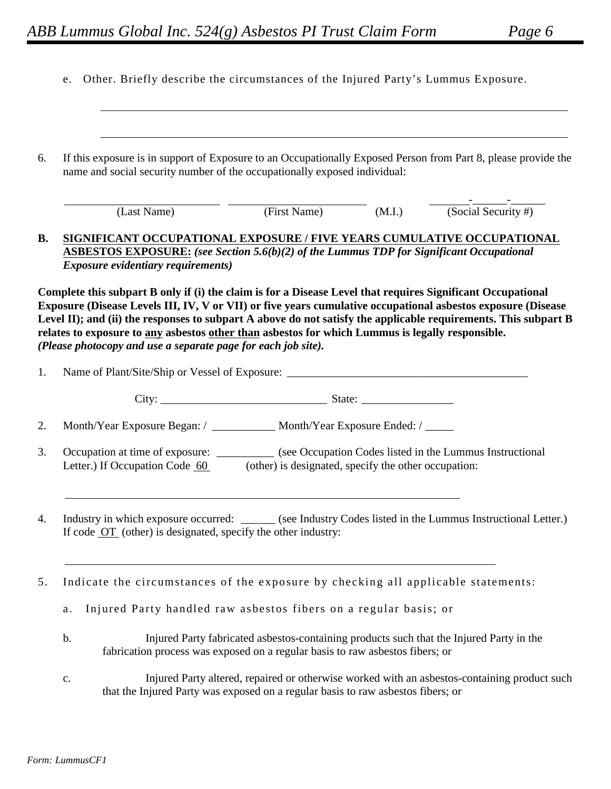|  |  |  |  |  |  |  |  |  | e. Other. Briefly describe the circumstances of the Injured Party's Lummus Exposure. |
|--|--|--|--|--|--|--|--|--|--------------------------------------------------------------------------------------|
|--|--|--|--|--|--|--|--|--|--------------------------------------------------------------------------------------|

| 6.        | If this exposure is in support of Exposure to an Occupationally Exposed Person from Part 8, please provide the<br>name and social security number of the occupationally exposed individual:                                                                                                                                                                                                                                                                                                                         |                                                      |                                                                                              |
|-----------|---------------------------------------------------------------------------------------------------------------------------------------------------------------------------------------------------------------------------------------------------------------------------------------------------------------------------------------------------------------------------------------------------------------------------------------------------------------------------------------------------------------------|------------------------------------------------------|----------------------------------------------------------------------------------------------|
|           | (Last Name)                                                                                                                                                                                                                                                                                                                                                                                                                                                                                                         | $(\text{First Name})$ (M.I.)                         | $\frac{1}{\text{(Social Security #)}}$                                                       |
| <b>B.</b> | SIGNIFICANT OCCUPATIONAL EXPOSURE / FIVE YEARS CUMULATIVE OCCUPATIONAL<br><b>ASBESTOS EXPOSURE:</b> (see Section 5.6(b)(2) of the Lummus TDP for Significant Occupational<br><b>Exposure evidentiary requirements)</b>                                                                                                                                                                                                                                                                                              |                                                      |                                                                                              |
|           | Complete this subpart B only if (i) the claim is for a Disease Level that requires Significant Occupational<br>Exposure (Disease Levels III, IV, V or VII) or five years cumulative occupational asbestos exposure (Disease<br>Level II); and (ii) the responses to subpart A above do not satisfy the applicable requirements. This subpart B<br>relates to exposure to any asbestos other than asbestos for which Lummus is legally responsible.<br>(Please photocopy and use a separate page for each job site). |                                                      |                                                                                              |
| 1.        |                                                                                                                                                                                                                                                                                                                                                                                                                                                                                                                     |                                                      |                                                                                              |
|           |                                                                                                                                                                                                                                                                                                                                                                                                                                                                                                                     |                                                      |                                                                                              |
| 2.        | Month/Year Exposure Began: / ____________ Month/Year Exposure Ended: / _____                                                                                                                                                                                                                                                                                                                                                                                                                                        |                                                      |                                                                                              |
| 3.        | Occupation at time of exposure: ___________ (see Occupation Codes listed in the Lummus Instructional<br>Letter.) If Occupation Code 60                                                                                                                                                                                                                                                                                                                                                                              | (other) is designated, specify the other occupation: |                                                                                              |
| 4.        | Industry in which exposure occurred: ______ (see Industry Codes listed in the Lummus Instructional Letter.)<br>If code OT (other) is designated, specify the other industry:                                                                                                                                                                                                                                                                                                                                        |                                                      |                                                                                              |
| 5.        | Indicate the circumstances of the exposure by checking all applicable statements:                                                                                                                                                                                                                                                                                                                                                                                                                                   |                                                      |                                                                                              |
|           | Injured Party handled raw asbestos fibers on a regular basis; or<br>a.                                                                                                                                                                                                                                                                                                                                                                                                                                              |                                                      |                                                                                              |
|           | b.<br>fabrication process was exposed on a regular basis to raw asbestos fibers; or                                                                                                                                                                                                                                                                                                                                                                                                                                 |                                                      | Injured Party fabricated asbestos-containing products such that the Injured Party in the     |
|           | $\mathbf{C}$ .<br>that the Injured Party was exposed on a regular basis to raw asbestos fibers; or                                                                                                                                                                                                                                                                                                                                                                                                                  |                                                      | Injured Party altered, repaired or otherwise worked with an asbestos-containing product such |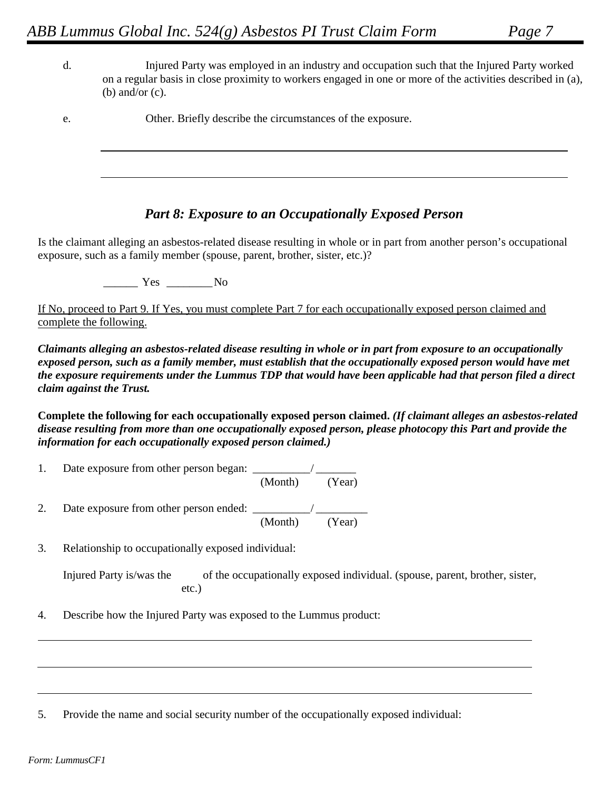- Injured Party was employed in an industry and occupation such that the Injured Party worked d. on a regular basis in close proximity to workers engaged in one or more of the activities described in (a), (b) and/or  $(c)$ .
- e. Other. Briefly describe the circumstances of the exposure.

## **Part 8: Exposure to an Occupationally Exposed Person**

Is the claimant alleging an asbestos-related disease resulting in whole or in part from another person's occupational exposure, such as a family member (spouse, parent, brother, sister, etc.)?

 $\frac{1}{1}$  Yes  $\frac{1}{1}$  No

If No, proceed to Part 9. If Yes, you must complete Part 7 for each occupationally exposed person claimed and complete the following.

Claimants alleging an asbestos-related disease resulting in whole or in part from exposure to an occupationally exposed person, such as a family member, must establish that the occupationally exposed person would have met the exposure requirements under the Lummus TDP that would have been applicable had that person filed a direct claim against the Trust.

Complete the following for each occupationally exposed person claimed. (If claimant alleges an asbestos-related disease resulting from more than one occupationally exposed person, please photocopy this Part and provide the information for each occupationally exposed person claimed.)

- $\mathbf{1}$ . (Month) (Year)
- Date exposure from other person ended:  $\frac{M_{\text{other}}}{M_{\text{other}}}$  (Year) 2.
- Relationship to occupationally exposed individual: 3.

```
Injured Party is/was the
                   of the occupationally exposed individual. (spouse, parent, brother, sister,
              etc.)
```
Describe how the Injured Party was exposed to the Lummus product: 4.

5. Provide the name and social security number of the occupationally exposed individual: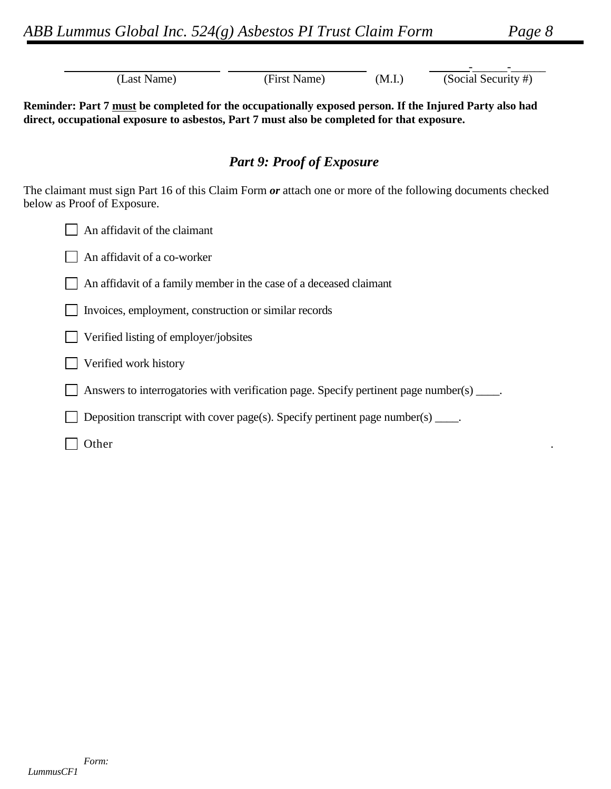| (Last Name)                                                                                                                                                                                            | (First Name)                     | (M.I.) | (Social Security #) |  |  |
|--------------------------------------------------------------------------------------------------------------------------------------------------------------------------------------------------------|----------------------------------|--------|---------------------|--|--|
| Reminder: Part 7 must be completed for the occupationally exposed person. If the Injured Party also had<br>direct, occupational exposure to asbestos, Part 7 must also be completed for that exposure. |                                  |        |                     |  |  |
|                                                                                                                                                                                                        | <b>Part 9: Proof of Exposure</b> |        |                     |  |  |
| The claimant must sign Part 16 of this Claim Form or attach one or more of the following documents checked<br>below as Proof of Exposure.                                                              |                                  |        |                     |  |  |
| An affidavit of the claimant                                                                                                                                                                           |                                  |        |                     |  |  |
| An affidavit of a co-worker                                                                                                                                                                            |                                  |        |                     |  |  |
| An affidavit of a family member in the case of a deceased claimant                                                                                                                                     |                                  |        |                     |  |  |
| Invoices, employment, construction or similar records                                                                                                                                                  |                                  |        |                     |  |  |
| Verified listing of employer/jobsites                                                                                                                                                                  |                                  |        |                     |  |  |
| Verified work history                                                                                                                                                                                  |                                  |        |                     |  |  |
| Answers to interrogatories with verification page. Specify pertinent page number(s) ____.                                                                                                              |                                  |        |                     |  |  |
| Deposition transcript with cover page(s). Specify pertinent page number(s) $\_\_\_\_\$ .                                                                                                               |                                  |        |                     |  |  |
| Other                                                                                                                                                                                                  |                                  |        |                     |  |  |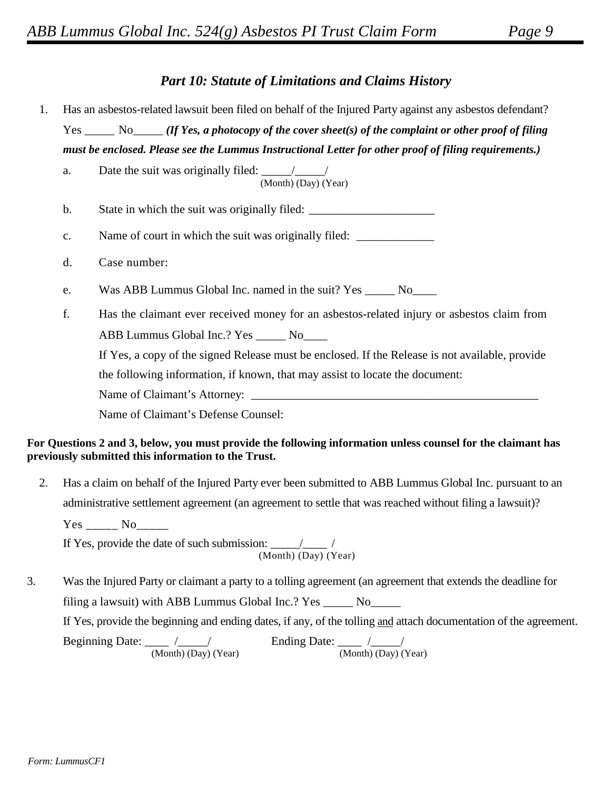# **Part 10: Statute of Limitations and Claims History**

- Has an asbestos-related lawsuit been filed on behalf of the Injured Party against any asbestos defendant? 1.  $Yes \_\_\_No \_\_\_ (If Yes, a photocopy of the cover sheet(s) of the complaint or other proof of filing)$ must be enclosed. Please see the Lummus Instructional Letter for other proof of filing requirements.)
	- Date the suit was originally filed:  $\frac{1}{\sqrt{1-\frac{1}{\sqrt{1-\frac{1}{\sqrt{1-\frac{1}{\sqrt{1-\frac{1}{\sqrt{1-\frac{1}{\sqrt{1-\frac{1}{\sqrt{1-\frac{1}{\sqrt{1-\frac{1}{\sqrt{1-\frac{1}{\sqrt{1-\frac{1}{\sqrt{1-\frac{1}{\sqrt{1-\frac{1}{\sqrt{1-\frac{1}{\sqrt{1-\frac{1}{\sqrt{1-\frac{1}{\sqrt{1-\frac{1}{\sqrt{1-\frac{1}{\sqrt{1-\frac{1}{\sqrt{1-\frac{1}{\sqrt{1-\frac{1$ a. (Month) (Day) (Year)  $\mathbf b$ . State in which the suit was originally filed: \_\_\_\_\_\_\_\_\_\_\_\_\_\_\_\_\_\_\_\_\_\_\_\_\_\_\_\_\_\_\_\_\_\_\_ Name of court in which the suit was originally filed:  $\mathbf{c}$ . d. Case number: Was ABB Lummus Global Inc. named in the suit? Yes \_\_\_\_\_\_ No\_\_\_\_\_ e. f. Has the claimant ever received money for an asbestos-related injury or asbestos claim from ABB Lummus Global Inc.? Yes \_\_\_\_\_\_ No\_\_\_\_\_ If Yes, a copy of the signed Release must be enclosed. If the Release is not available, provide the following information, if known, that may assist to locate the document: Name of Claimant's Attorney:

Name of Claimant's Defense Counsel:

#### For Questions 2 and 3, below, you must provide the following information unless counsel for the claimant has previously submitted this information to the Trust.

Has a claim on behalf of the Injured Party ever been submitted to ABB Lummus Global Inc. pursuant to an 2. administrative settlement agreement (an agreement to settle that was reached without filing a lawsuit)?

 $Yes_{\_}$  No $_{\_}$ 

If Yes, provide the date of such submission:  $\frac{1}{(Month)(Day)(Year)}$ 

3. Was the Injured Party or claimant a party to a tolling agreement (an agreement that extends the deadline for filing a lawsuit) with ABB Lummus Global Inc.? Yes \_\_\_\_\_\_ No\_\_\_\_\_\_ If Yes, provide the beginning and ending dates, if any, of the tolling and attach documentation of the agreement. Beginning Date:  $\frac{}{(\text{Month}) (Day)}$  (Year) Ending Date:  $\frac{1}{(Month) (Day) (Year)}$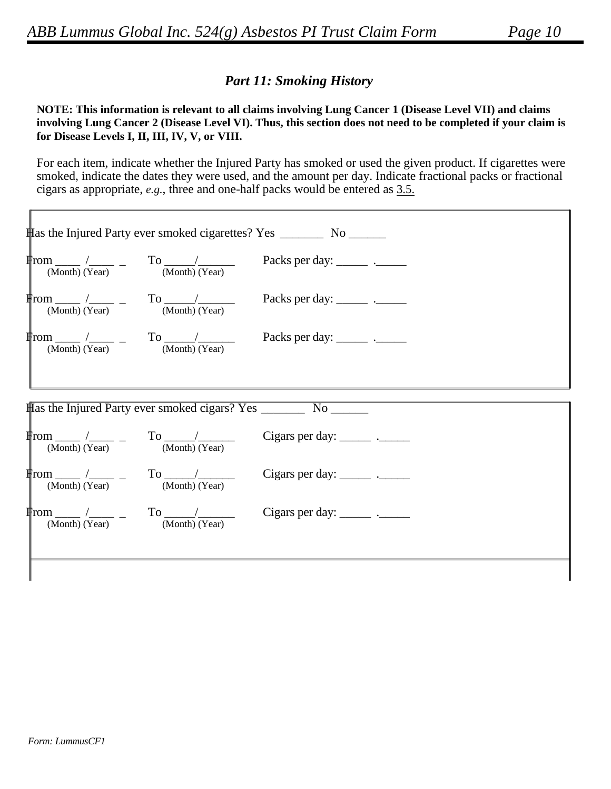# **Part 11: Smoking History**

#### NOTE: This information is relevant to all claims involving Lung Cancer 1 (Disease Level VII) and claims involving Lung Cancer 2 (Disease Level VI). Thus, this section does not need to be completed if your claim is for Disease Levels I, II, III, IV, V, or VIII.

For each item, indicate whether the Injured Party has smoked or used the given product. If cigarettes were smoked, indicate the dates they were used, and the amount per day. Indicate fractional packs or fractional cigars as appropriate,  $e.g.,$  three and one-half packs would be entered as  $3.5.$ 

|                |                                                                                              | tas the Injured Party ever smoked cigarettes? Yes __________ No ________ |
|----------------|----------------------------------------------------------------------------------------------|--------------------------------------------------------------------------|
|                |                                                                                              |                                                                          |
|                |                                                                                              |                                                                          |
|                |                                                                                              |                                                                          |
|                |                                                                                              |                                                                          |
|                |                                                                                              |                                                                          |
|                |                                                                                              |                                                                          |
| (Month) (Year) | $\overline{\text{(Month)}}$ (Year)                                                           | Cigars per day: $\frac{\ }{\ }$                                          |
|                | $\frac{\text{From}}{\text{(Month)}} \frac{1}{\text{(Year)}}$ - To $\frac{1}{\text{(Month)}}$ | Cigars per day: $\frac{\ }{\ }$                                          |
|                |                                                                                              |                                                                          |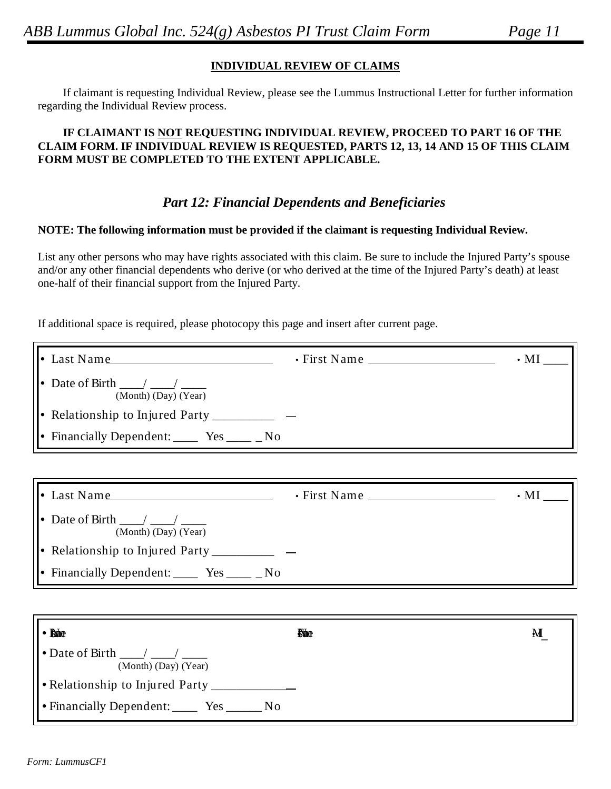### **INDIVIDUAL REVIEW OF CLAIMS**

If claimant is requesting Individual Review, please see the Lummus Instructional Letter for further information regarding the Individual Review process.

#### **IF CLAIMANT IS NOT REQUESTING INDIVIDUAL REVIEW, PROCEED TO PART 16 OF THE CLAIM FORM. IF INDIVIDUAL REVIEW IS REQUESTED, PARTS 12, 13, 14 AND 15 OF THIS CLAIM FORM MUST BE COMPLETED TO THE EXTENT APPLICABLE.**

## *Part 12: Financial Dependents and Beneficiaries*

#### **NOTE: The following information must be provided if the claimant is requesting Individual Review.**

List any other persons who may have rights associated with this claim. Be sure to include the Injured Party's spouse and/or any other financial dependents who derive (or who derived at the time of the Injured Party's death) at least one-half of their financial support from the Injured Party.

If additional space is required, please photocopy this page and insert after current page.

| $\parallel \bullet$ Last Name                                                                                  | $\cdot$ First Name | $\cdot$ MI $_{-}$       |
|----------------------------------------------------------------------------------------------------------------|--------------------|-------------------------|
| (Month) (Day) (Year)                                                                                           |                    |                         |
| Relationship to Injured Party________                                                                          |                    |                         |
|                                                                                                                |                    |                         |
|                                                                                                                |                    |                         |
| $\vert \cdot \vert$ Last Name                                                                                  |                    | $\boldsymbol{\cdot}$ MI |
| $\bullet$ Date of Birth $\_\_\_\_\_\_\_\_\_\_\_\_\_\_\_\_\_\_\_\_\_\_\_\_\_\_\_\_\_\_$<br>(Month) (Day) (Year) |                    |                         |
| • Relationship to Injured Party_________                                                                       |                    |                         |
| • Financially Dependent: $\_\_\_\$ Yes $\_\_\_\$ No                                                            |                    |                         |
|                                                                                                                |                    |                         |
| $\bullet$ Reno                                                                                                 | <b>No</b>          | М                       |
| (Month) (Day) (Year)                                                                                           |                    |                         |
| • Relationship to Injured Party                                                                                |                    |                         |
| • Financially Dependent: ______ Yes _______ No                                                                 |                    |                         |

D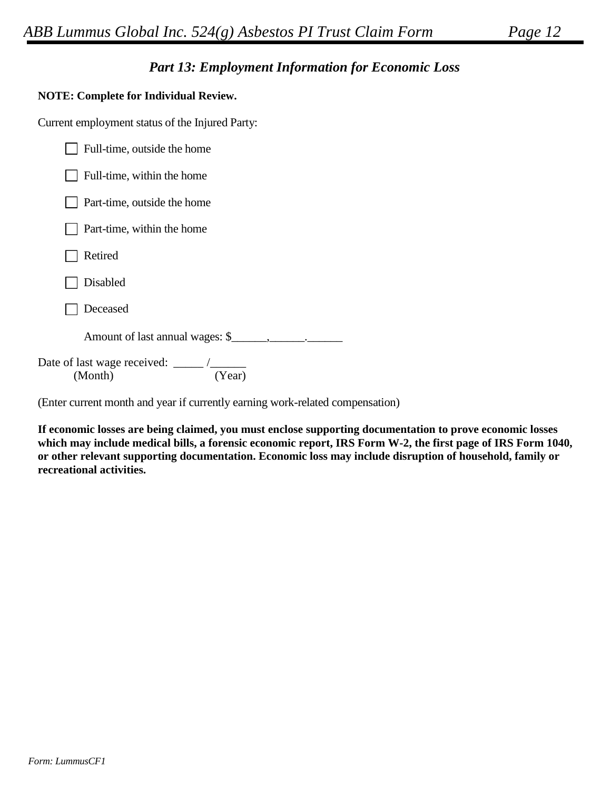# **Part 13: Employment Information for Economic Loss**

### **NOTE: Complete for Individual Review.**

Current employment status of the Injured Party:

| Full-time, outside the home                                      |
|------------------------------------------------------------------|
| Full-time, within the home                                       |
| Part-time, outside the home                                      |
| Part-time, within the home                                       |
| Retired                                                          |
| Disabled                                                         |
| Deceased                                                         |
|                                                                  |
| Date of last wage received: $\frac{\ }{\ }$<br>(Year)<br>(Month) |

(Enter current month and year if currently earning work-related compensation)

If economic losses are being claimed, you must enclose supporting documentation to prove economic losses which may include medical bills, a forensic economic report, IRS Form W-2, the first page of IRS Form 1040, or other relevant supporting documentation. Economic loss may include disruption of household, family or recreational activities.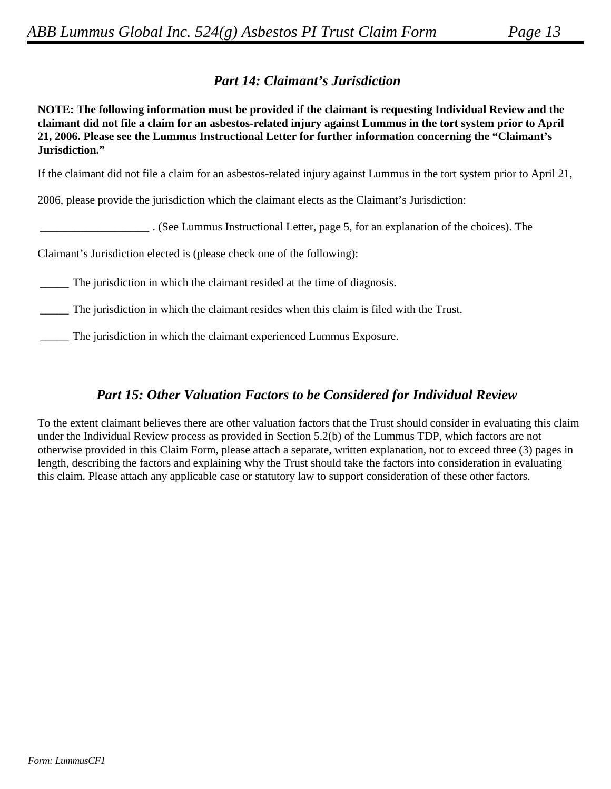# **Part 14: Claimant's Jurisdiction**

NOTE: The following information must be provided if the claimant is requesting Individual Review and the claimant did not file a claim for an asbestos-related injury against Lummus in the tort system prior to April 21, 2006. Please see the Lummus Instructional Letter for further information concerning the "Claimant's Jurisdiction."

If the claimant did not file a claim for an asbestos-related injury against Lummus in the tort system prior to April 21,

2006, please provide the jurisdiction which the claimant elects as the Claimant's Jurisdiction:

(See Lummus Instructional Letter, page 5, for an explanation of the choices). The

Claimant's Jurisdiction elected is (please check one of the following):

The jurisdiction in which the claimant resided at the time of diagnosis.

The jurisdiction in which the claimant resides when this claim is filed with the Trust.

The jurisdiction in which the claimant experienced Lummus Exposure.

## **Part 15: Other Valuation Factors to be Considered for Individual Review**

To the extent claimant believes there are other valuation factors that the Trust should consider in evaluating this claim under the Individual Review process as provided in Section 5.2(b) of the Lummus TDP, which factors are not otherwise provided in this Claim Form, please attach a separate, written explanation, not to exceed three (3) pages in length, describing the factors and explaining why the Trust should take the factors into consideration in evaluating this claim. Please attach any applicable case or statutory law to support consideration of these other factors.